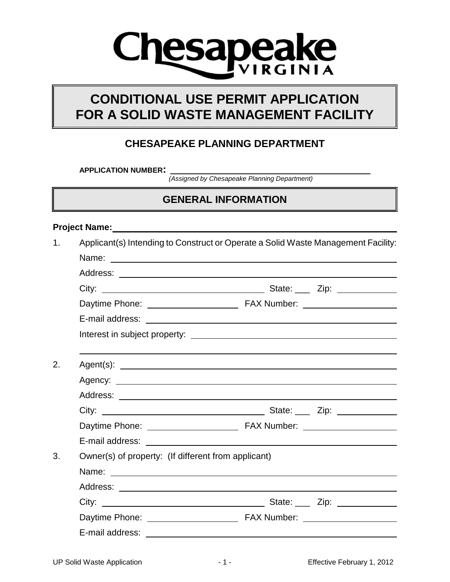# **esapeake**

# **CONDITIONAL USE PERMIT APPLICATION FOR A SOLID WASTE MANAGEMENT FACILITY**

#### **CHESAPEAKE PLANNING DEPARTMENT**

**APPLICATION NUMBER:** 

*(Assigned by Chesapeake Planning Department)*

# **GENERAL INFORMATION**

#### **Project Name:**

| 1. | Applicant(s) Intending to Construct or Operate a Solid Waste Management Facility: |  |  |  |  |  |
|----|-----------------------------------------------------------------------------------|--|--|--|--|--|
|    |                                                                                   |  |  |  |  |  |
|    |                                                                                   |  |  |  |  |  |
|    |                                                                                   |  |  |  |  |  |
|    |                                                                                   |  |  |  |  |  |
|    |                                                                                   |  |  |  |  |  |
|    |                                                                                   |  |  |  |  |  |
|    |                                                                                   |  |  |  |  |  |
| 2. |                                                                                   |  |  |  |  |  |
|    |                                                                                   |  |  |  |  |  |
|    |                                                                                   |  |  |  |  |  |
|    |                                                                                   |  |  |  |  |  |
|    |                                                                                   |  |  |  |  |  |
|    |                                                                                   |  |  |  |  |  |
| 3. | Owner(s) of property: (If different from applicant)                               |  |  |  |  |  |
|    |                                                                                   |  |  |  |  |  |
|    |                                                                                   |  |  |  |  |  |
|    |                                                                                   |  |  |  |  |  |
|    |                                                                                   |  |  |  |  |  |
|    |                                                                                   |  |  |  |  |  |
|    |                                                                                   |  |  |  |  |  |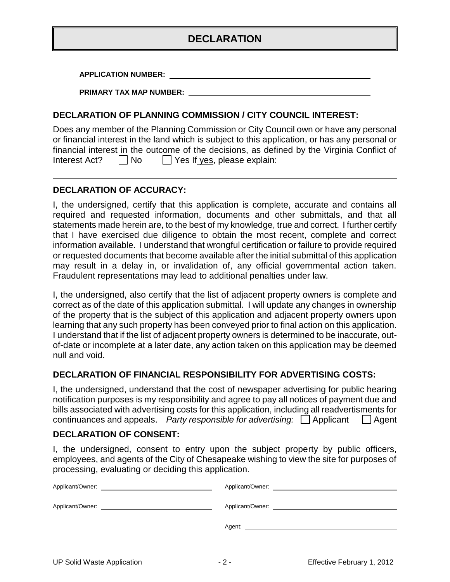#### **DECLARATION**

**APPLICATION NUMBER:**

**PRIMARY TAX MAP NUMBER:**

#### **DECLARATION OF PLANNING COMMISSION / CITY COUNCIL INTEREST:**

Does any member of the Planning Commission or City Council own or have any personal or financial interest in the land which is subject to this application, or has any personal or financial interest in the outcome of the decisions, as defined by the Virginia Conflict of Interest Act?  $\Box$  No  $\Box$  Yes If yes, please explain:

#### **DECLARATION OF ACCURACY:**

I, the undersigned, certify that this application is complete, accurate and contains all required and requested information, documents and other submittals, and that all statements made herein are, to the best of my knowledge, true and correct. I further certify that I have exercised due diligence to obtain the most recent, complete and correct information available. I understand that wrongful certification or failure to provide required or requested documents that become available after the initial submittal of this application may result in a delay in, or invalidation of, any official governmental action taken. Fraudulent representations may lead to additional penalties under law.

I, the undersigned, also certify that the list of adjacent property owners is complete and correct as of the date of this application submittal. I will update any changes in ownership of the property that is the subject of this application and adjacent property owners upon learning that any such property has been conveyed prior to final action on this application. I understand that if the list of adjacent property owners is determined to be inaccurate, outof-date or incomplete at a later date, any action taken on this application may be deemed null and void.

#### **DECLARATION OF FINANCIAL RESPONSIBILITY FOR ADVERTISING COSTS:**

I, the undersigned, understand that the cost of newspaper advertising for public hearing notification purposes is my responsibility and agree to pay all notices of payment due and bills associated with advertising costs for this application, including all readvertisments for continuances and appeals. *Party responsible for advertising:* Applicant Agent

#### **DECLARATION OF CONSENT:**

I, the undersigned, consent to entry upon the subject property by public officers, employees, and agents of the City of Chesapeake wishing to view the site for purposes of processing, evaluating or deciding this application.

| Applicant/Owner: | Applicant/Owner:                                                                                                                                                                                                               |
|------------------|--------------------------------------------------------------------------------------------------------------------------------------------------------------------------------------------------------------------------------|
|                  |                                                                                                                                                                                                                                |
| Applicant/Owner: | Applicant/Owner: Applicant Applicant Applicant Applicant Applicant Applicant Applicant Applicant Applicant Applicant Applicant Applicant Applicant Applicant Applicant Applicant Applicant Applicant Applicant Applicant Appli |
|                  |                                                                                                                                                                                                                                |
|                  | Agent:                                                                                                                                                                                                                         |
|                  |                                                                                                                                                                                                                                |
|                  |                                                                                                                                                                                                                                |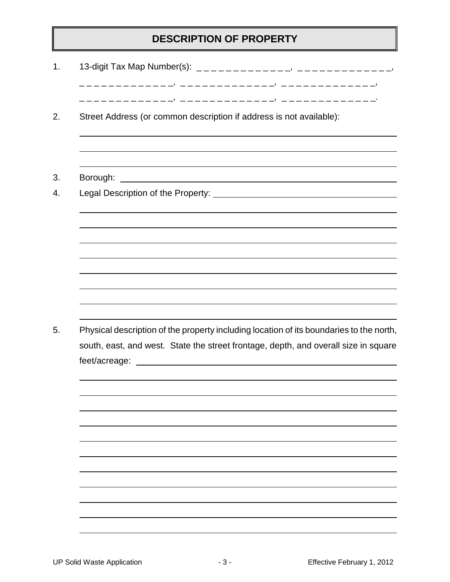# **DESCRIPTION OF PROPERTY**

| Street Address (or common description if address is not available):                                                                                                                                                                                                                                                   |  |
|-----------------------------------------------------------------------------------------------------------------------------------------------------------------------------------------------------------------------------------------------------------------------------------------------------------------------|--|
|                                                                                                                                                                                                                                                                                                                       |  |
|                                                                                                                                                                                                                                                                                                                       |  |
|                                                                                                                                                                                                                                                                                                                       |  |
|                                                                                                                                                                                                                                                                                                                       |  |
| Physical description of the property including location of its boundaries to the north,                                                                                                                                                                                                                               |  |
| south, east, and west. State the street frontage, depth, and overall size in square<br>feet/acreage: with the contract of the contract of the contract of the contract of the contract of the contract of the contract of the contract of the contract of the contract of the contract of the contract of the contrac |  |
|                                                                                                                                                                                                                                                                                                                       |  |
|                                                                                                                                                                                                                                                                                                                       |  |
|                                                                                                                                                                                                                                                                                                                       |  |
|                                                                                                                                                                                                                                                                                                                       |  |
|                                                                                                                                                                                                                                                                                                                       |  |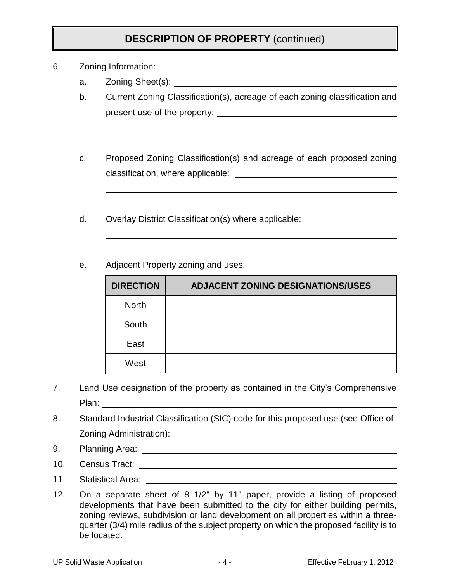### **DESCRIPTION OF PROPERTY** (continued)

- 6. Zoning Information:
	- a. Zoning Sheet(s):
	- b. Current Zoning Classification(s), acreage of each zoning classification and present use of the property:
	- c. Proposed Zoning Classification(s) and acreage of each proposed zoning classification, where applicable:
	- d. Overlay District Classification(s) where applicable:
	- e. Adjacent Property zoning and uses:

| <b>DIRECTION</b> | <b>ADJACENT ZONING DESIGNATIONS/USES</b> |
|------------------|------------------------------------------|
| <b>North</b>     |                                          |
| South            |                                          |
| East             |                                          |
| West             |                                          |

- 7. Land Use designation of the property as contained in the City's Comprehensive Plan: **Planet According to the Contract According to the Contract According to the Contract According to the Contract According to the Contract According to the Contract According to the Contract According to the Contract**
- 8. Standard Industrial Classification (SIC) code for this proposed use (see Office of Zoning Administration):
- 9. Planning Area:
- 10. Census Tract:
- 11. Statistical Area:
- 12. On a separate sheet of 8 1/2" by 11" paper, provide a listing of proposed developments that have been submitted to the city for either building permits, zoning reviews, subdivision or land development on all properties within a threequarter (3/4) mile radius of the subject property on which the proposed facility is to be located.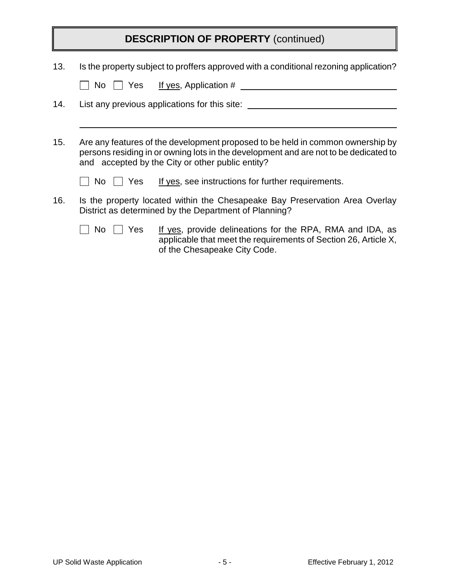|                                                                                                                                                                                                                                   | <b>DESCRIPTION OF PROPERTY (continued)</b>                                                                                                                                 |  |  |  |
|-----------------------------------------------------------------------------------------------------------------------------------------------------------------------------------------------------------------------------------|----------------------------------------------------------------------------------------------------------------------------------------------------------------------------|--|--|--|
| 13.                                                                                                                                                                                                                               | Is the property subject to proffers approved with a conditional rezoning application?<br>$No$     Yes<br><u>If yes</u> , Application #                                     |  |  |  |
| 14.                                                                                                                                                                                                                               | List any previous applications for this site:                                                                                                                              |  |  |  |
| 15.<br>Are any features of the development proposed to be held in common ownership by<br>persons residing in or owning lots in the development and are not to be dedicated to<br>and accepted by the City or other public entity? |                                                                                                                                                                            |  |  |  |
|                                                                                                                                                                                                                                   | If yes, see instructions for further requirements.<br>l I Yes<br>No l                                                                                                      |  |  |  |
| 16.                                                                                                                                                                                                                               | Is the property located within the Chesapeake Bay Preservation Area Overlay<br>District as determined by the Department of Planning?                                       |  |  |  |
|                                                                                                                                                                                                                                   | If yes, provide delineations for the RPA, RMA and IDA, as<br>Yes<br>No.<br>applicable that meet the requirements of Section 26, Article X,<br>of the Chesapeake City Code. |  |  |  |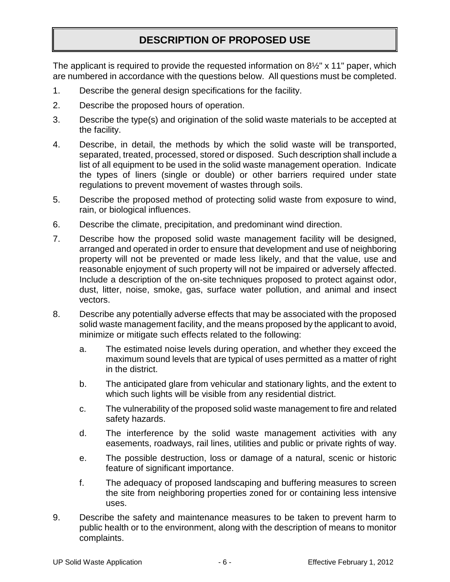# **DESCRIPTION OF PROPOSED USE**

The applicant is required to provide the requested information on 8½" x 11" paper, which are numbered in accordance with the questions below. All questions must be completed.

- 1. Describe the general design specifications for the facility.
- 2. Describe the proposed hours of operation.
- 3. Describe the type(s) and origination of the solid waste materials to be accepted at the facility.
- 4. Describe, in detail, the methods by which the solid waste will be transported, separated, treated, processed, stored or disposed. Such description shall include a list of all equipment to be used in the solid waste management operation. Indicate the types of liners (single or double) or other barriers required under state regulations to prevent movement of wastes through soils.
- 5. Describe the proposed method of protecting solid waste from exposure to wind, rain, or biological influences.
- 6. Describe the climate, precipitation, and predominant wind direction.
- 7. Describe how the proposed solid waste management facility will be designed, arranged and operated in order to ensure that development and use of neighboring property will not be prevented or made less likely, and that the value, use and reasonable enjoyment of such property will not be impaired or adversely affected. Include a description of the on-site techniques proposed to protect against odor, dust, litter, noise, smoke, gas, surface water pollution, and animal and insect vectors.
- 8. Describe any potentially adverse effects that may be associated with the proposed solid waste management facility, and the means proposed by the applicant to avoid, minimize or mitigate such effects related to the following:
	- a. The estimated noise levels during operation, and whether they exceed the maximum sound levels that are typical of uses permitted as a matter of right in the district.
	- b. The anticipated glare from vehicular and stationary lights, and the extent to which such lights will be visible from any residential district.
	- c. The vulnerability of the proposed solid waste management to fire and related safety hazards.
	- d. The interference by the solid waste management activities with any easements, roadways, rail lines, utilities and public or private rights of way.
	- e. The possible destruction, loss or damage of a natural, scenic or historic feature of significant importance.
	- f. The adequacy of proposed landscaping and buffering measures to screen the site from neighboring properties zoned for or containing less intensive uses.
- 9. Describe the safety and maintenance measures to be taken to prevent harm to public health or to the environment, along with the description of means to monitor complaints.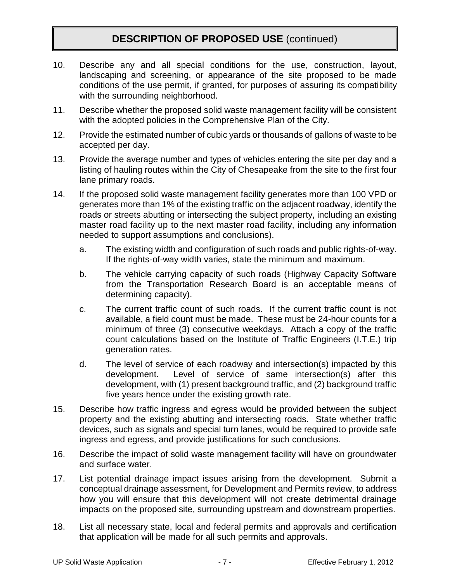### **DESCRIPTION OF PROPOSED USE** (continued)

- 10. Describe any and all special conditions for the use, construction, layout, landscaping and screening, or appearance of the site proposed to be made conditions of the use permit, if granted, for purposes of assuring its compatibility with the surrounding neighborhood.
- 11. Describe whether the proposed solid waste management facility will be consistent with the adopted policies in the Comprehensive Plan of the City.
- 12. Provide the estimated number of cubic yards or thousands of gallons of waste to be accepted per day.
- 13. Provide the average number and types of vehicles entering the site per day and a listing of hauling routes within the City of Chesapeake from the site to the first four lane primary roads.
- 14. If the proposed solid waste management facility generates more than 100 VPD or generates more than 1% of the existing traffic on the adjacent roadway, identify the roads or streets abutting or intersecting the subject property, including an existing master road facility up to the next master road facility, including any information needed to support assumptions and conclusions).
	- a. The existing width and configuration of such roads and public rights-of-way. If the rights-of-way width varies, state the minimum and maximum.
	- b. The vehicle carrying capacity of such roads (Highway Capacity Software from the Transportation Research Board is an acceptable means of determining capacity).
	- c. The current traffic count of such roads. If the current traffic count is not available, a field count must be made. These must be 24-hour counts for a minimum of three (3) consecutive weekdays. Attach a copy of the traffic count calculations based on the Institute of Traffic Engineers (I.T.E.) trip generation rates.
	- d. The level of service of each roadway and intersection(s) impacted by this development. Level of service of same intersection(s) after this development, with (1) present background traffic, and (2) background traffic five years hence under the existing growth rate.
- 15. Describe how traffic ingress and egress would be provided between the subject property and the existing abutting and intersecting roads. State whether traffic devices, such as signals and special turn lanes, would be required to provide safe ingress and egress, and provide justifications for such conclusions.
- 16. Describe the impact of solid waste management facility will have on groundwater and surface water.
- 17. List potential drainage impact issues arising from the development. Submit a conceptual drainage assessment, for Development and Permits review, to address how you will ensure that this development will not create detrimental drainage impacts on the proposed site, surrounding upstream and downstream properties.
- 18. List all necessary state, local and federal permits and approvals and certification that application will be made for all such permits and approvals.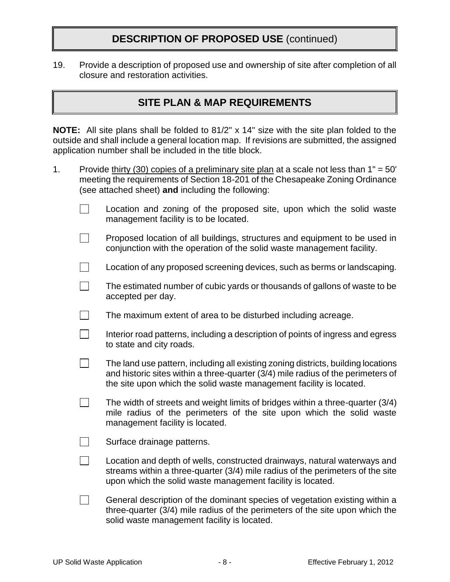#### **DESCRIPTION OF PROPOSED USE** (continued)

19. Provide a description of proposed use and ownership of site after completion of all closure and restoration activities.

#### **SITE PLAN & MAP REQUIREMENTS**

**NOTE:** All site plans shall be folded to 81/2" x 14" size with the site plan folded to the outside and shall include a general location map. If revisions are submitted, the assigned application number shall be included in the title block.

- 1. Provide thirty (30) copies of a preliminary site plan at a scale not less than  $1" = 50'$ meeting the requirements of Section 18-201 of the Chesapeake Zoning Ordinance (see attached sheet) **and** including the following:
	- $\Box$ Location and zoning of the proposed site, upon which the solid waste management facility is to be located.
	- $\Box$ Proposed location of all buildings, structures and equipment to be used in conjunction with the operation of the solid waste management facility.
	- $\mathbb{R}^n$ Location of any proposed screening devices, such as berms or landscaping.
	- $\Box$ The estimated number of cubic yards or thousands of gallons of waste to be accepted per day.
	- $\Box$ The maximum extent of area to be disturbed including acreage.
	- $\Box$ Interior road patterns, including a description of points of ingress and egress to state and city roads.
	- $\Box$ The land use pattern, including all existing zoning districts, building locations and historic sites within a three-quarter (3/4) mile radius of the perimeters of the site upon which the solid waste management facility is located.
	- $\mathbf{L}$ The width of streets and weight limits of bridges within a three-quarter (3/4) mile radius of the perimeters of the site upon which the solid waste management facility is located.
	- $\mathcal{L}(\mathcal{L})$ Surface drainage patterns.
	- $\Box$ Location and depth of wells, constructed drainways, natural waterways and streams within a three-quarter (3/4) mile radius of the perimeters of the site upon which the solid waste management facility is located.
	- $\Box$ General description of the dominant species of vegetation existing within a three-quarter (3/4) mile radius of the perimeters of the site upon which the solid waste management facility is located.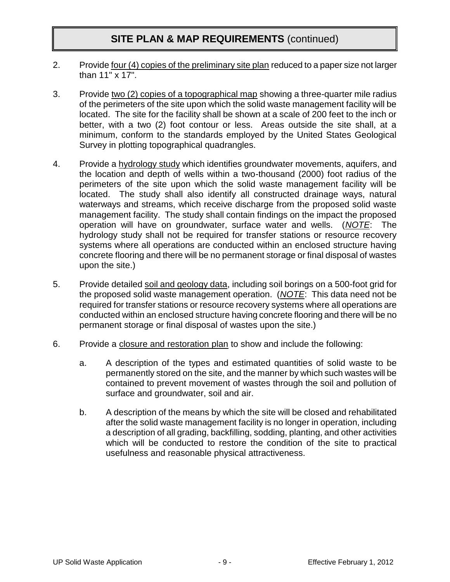#### **SITE PLAN & MAP REQUIREMENTS** (continued)

- 2. Provide four (4) copies of the preliminary site plan reduced to a paper size not larger than 11" x 17".
- 3. Provide two (2) copies of a topographical map showing a three-quarter mile radius of the perimeters of the site upon which the solid waste management facility will be located. The site for the facility shall be shown at a scale of 200 feet to the inch or better, with a two (2) foot contour or less. Areas outside the site shall, at a minimum, conform to the standards employed by the United States Geological Survey in plotting topographical quadrangles.
- 4. Provide a hydrology study which identifies groundwater movements, aquifers, and the location and depth of wells within a two-thousand (2000) foot radius of the perimeters of the site upon which the solid waste management facility will be located. The study shall also identify all constructed drainage ways, natural waterways and streams, which receive discharge from the proposed solid waste management facility. The study shall contain findings on the impact the proposed operation will have on groundwater, surface water and wells. (*NOTE*: The hydrology study shall not be required for transfer stations or resource recovery systems where all operations are conducted within an enclosed structure having concrete flooring and there will be no permanent storage or final disposal of wastes upon the site.)
- 5. Provide detailed soil and geology data, including soil borings on a 500-foot grid for the proposed solid waste management operation. (*NOTE*: This data need not be required for transfer stations or resource recovery systems where all operations are conducted within an enclosed structure having concrete flooring and there will be no permanent storage or final disposal of wastes upon the site.)
- 6. Provide a closure and restoration plan to show and include the following:
	- a. A description of the types and estimated quantities of solid waste to be permanently stored on the site, and the manner by which such wastes will be contained to prevent movement of wastes through the soil and pollution of surface and groundwater, soil and air.
	- b. A description of the means by which the site will be closed and rehabilitated after the solid waste management facility is no longer in operation, including a description of all grading, backfilling, sodding, planting, and other activities which will be conducted to restore the condition of the site to practical usefulness and reasonable physical attractiveness.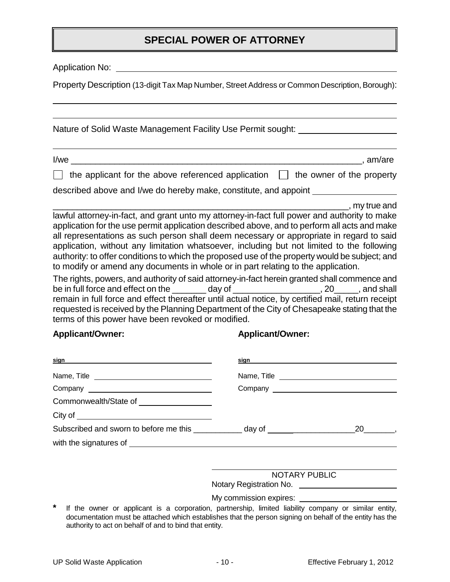#### **SPECIAL POWER OF ATTORNEY**

Application No:

Property Description (13-digit Tax Map Number, Street Address or Common Description, Borough):

Nature of Solid Waste Management Facility Use Permit sought:

I/we \_\_\_\_\_\_\_\_\_\_\_\_\_\_\_\_\_\_\_\_\_\_\_\_\_\_\_\_\_\_\_\_\_\_\_\_\_\_\_\_\_\_\_\_\_\_\_\_\_\_\_\_\_\_\_\_\_\_\_\_, am/are

 $\Box$  the applicant for the above referenced application  $\Box$  the owner of the property

described above and I/we do hereby make, constitute, and appoint

 $\Box$ , my true and lawful attorney-in-fact, and grant unto my attorney-in-fact full power and authority to make application for the use permit application described above, and to perform all acts and make all representations as such person shall deem necessary or appropriate in regard to said application, without any limitation whatsoever, including but not limited to the following authority: to offer conditions to which the proposed use of the property would be subject; and to modify or amend any documents in whole or in part relating to the application.

The rights, powers, and authority of said attorney-in-fact herein granted shall commence and be in full force and effect on the \_\_\_\_\_\_\_ day of \_\_\_\_\_\_\_\_\_\_\_\_\_\_\_\_\_\_, 20\_\_\_\_\_, and shall remain in full force and effect thereafter until actual notice, by certified mail, return receipt requested is received by the Planning Department of the City of Chesapeake stating that the terms of this power have been revoked or modified.

**Applicant/Owner: Applicant/Owner:**

| sign                                                        | sign sign and the state of the state of the state of the state of the state of the state of the state of the state of the state of the state of the state of the state of the state of the state of the state of the state of |     |
|-------------------------------------------------------------|-------------------------------------------------------------------------------------------------------------------------------------------------------------------------------------------------------------------------------|-----|
|                                                             |                                                                                                                                                                                                                               |     |
|                                                             |                                                                                                                                                                                                                               |     |
|                                                             |                                                                                                                                                                                                                               |     |
|                                                             |                                                                                                                                                                                                                               |     |
| Subscribed and sworn to before me this _____________ day of |                                                                                                                                                                                                                               | 20, |
|                                                             |                                                                                                                                                                                                                               |     |

| <b>NOTARY PUBLIC</b> |  |
|----------------------|--|
|----------------------|--|

Notary Registration No.

My commission expires:

If the owner or applicant is a corporation, partnership, limited liability company or similar entity, documentation must be attached which establishes that the person signing on behalf of the entity has the authority to act on behalf of and to bind that entity.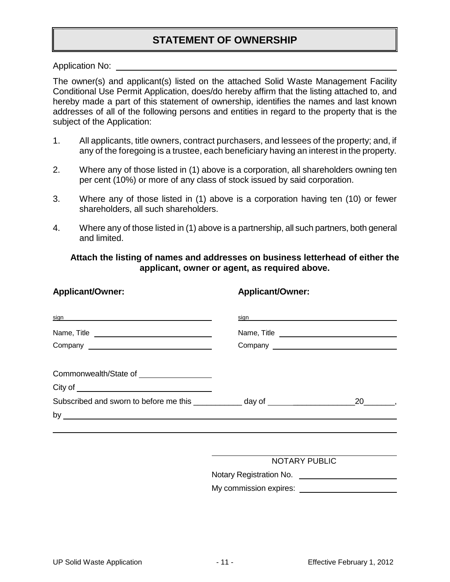#### **STATEMENT OF OWNERSHIP**

Application No:

The owner(s) and applicant(s) listed on the attached Solid Waste Management Facility Conditional Use Permit Application, does/do hereby affirm that the listing attached to, and hereby made a part of this statement of ownership, identifies the names and last known addresses of all of the following persons and entities in regard to the property that is the subject of the Application:

- 1. All applicants, title owners, contract purchasers, and lessees of the property; and, if any of the foregoing is a trustee, each beneficiary having an interest in the property.
- 2. Where any of those listed in (1) above is a corporation, all shareholders owning ten per cent (10%) or more of any class of stock issued by said corporation.
- 3. Where any of those listed in (1) above is a corporation having ten (10) or fewer shareholders, all such shareholders.
- 4. Where any of those listed in (1) above is a partnership, all such partners, both general and limited.

**Applicant/Owner: Applicant/Owner:**

**Attach the listing of names and addresses on business letterhead of either the applicant, owner or agent, as required above.**

| sign and the contract of the contract of the contract of the contract of the contract of the contract of the contract of the contract of the contract of the contract of the contract of the contract of the contract of the c |             |
|--------------------------------------------------------------------------------------------------------------------------------------------------------------------------------------------------------------------------------|-------------|
|                                                                                                                                                                                                                                | Name, Title |
|                                                                                                                                                                                                                                |             |
| Commonwealth/State of __________________                                                                                                                                                                                       |             |
|                                                                                                                                                                                                                                |             |
|                                                                                                                                                                                                                                |             |
| by                                                                                                                                                                                                                             |             |

Notary Registration No.

My commission expires: <u>example and the set of the set of the set of the set of the set of the set of the set of the set of the set of the set of the set of the set of the set of the set of the set of the set of the set of</u>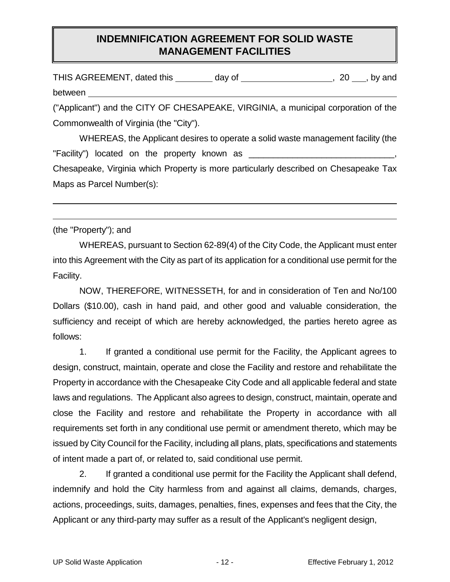#### **INDEMNIFICATION AGREEMENT FOR SOLID WASTE MANAGEMENT FACILITIES**

| THIS AGREEMENT, dated this | dav of | , by and |
|----------------------------|--------|----------|
| between                    |        |          |

("Applicant") and the CITY OF CHESAPEAKE, VIRGINIA, a municipal corporation of the Commonwealth of Virginia (the "City").

WHEREAS, the Applicant desires to operate a solid waste management facility (the "Facility") located on the property known as \_\_\_\_\_\_\_\_\_\_\_\_\_\_\_\_\_\_\_\_\_\_\_\_\_\_\_\_\_\_, Chesapeake, Virginia which Property is more particularly described on Chesapeake Tax Maps as Parcel Number(s):

(the "Property"); and

WHEREAS, pursuant to Section 62-89(4) of the City Code, the Applicant must enter into this Agreement with the City as part of its application for a conditional use permit for the Facility.

NOW, THEREFORE, WITNESSETH, for and in consideration of Ten and No/100 Dollars (\$10.00), cash in hand paid, and other good and valuable consideration, the sufficiency and receipt of which are hereby acknowledged, the parties hereto agree as follows:

1. If granted a conditional use permit for the Facility, the Applicant agrees to design, construct, maintain, operate and close the Facility and restore and rehabilitate the Property in accordance with the Chesapeake City Code and all applicable federal and state laws and regulations. The Applicant also agrees to design, construct, maintain, operate and close the Facility and restore and rehabilitate the Property in accordance with all requirements set forth in any conditional use permit or amendment thereto, which may be issued by City Council for the Facility, including all plans, plats, specifications and statements of intent made a part of, or related to, said conditional use permit.

2. If granted a conditional use permit for the Facility the Applicant shall defend, indemnify and hold the City harmless from and against all claims, demands, charges, actions, proceedings, suits, damages, penalties, fines, expenses and fees that the City, the Applicant or any third-party may suffer as a result of the Applicant's negligent design,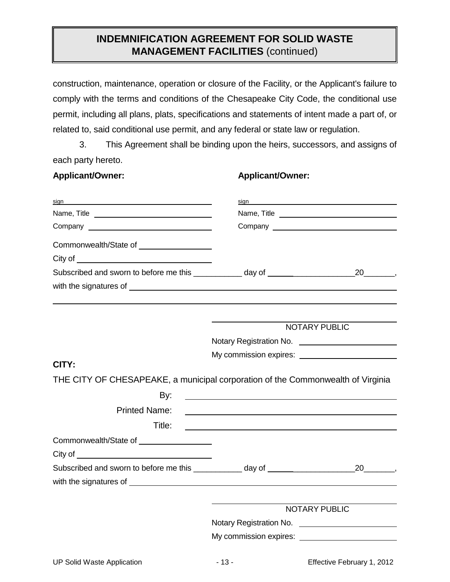#### **INDEMNIFICATION AGREEMENT FOR SOLID WASTE MANAGEMENT FACILITIES** (continued)

construction, maintenance, operation or closure of the Facility, or the Applicant's failure to comply with the terms and conditions of the Chesapeake City Code, the conditional use permit, including all plans, plats, specifications and statements of intent made a part of, or related to, said conditional use permit, and any federal or state law or regulation.

3. This Agreement shall be binding upon the heirs, successors, and assigns of each party hereto.

**Applicant/Owner: Applicant/Owner:**

| sian<br>Name, Title <u>experience</u>                                                                                                                                                                                          | sign                                                   |                    |  |
|--------------------------------------------------------------------------------------------------------------------------------------------------------------------------------------------------------------------------------|--------------------------------------------------------|--------------------|--|
|                                                                                                                                                                                                                                |                                                        |                    |  |
| Commonwealth/State of __________________                                                                                                                                                                                       |                                                        |                    |  |
| City of <u>contract the contract of the contract of</u>                                                                                                                                                                        |                                                        |                    |  |
|                                                                                                                                                                                                                                |                                                        |                    |  |
|                                                                                                                                                                                                                                |                                                        |                    |  |
|                                                                                                                                                                                                                                |                                                        |                    |  |
|                                                                                                                                                                                                                                | NOTARY PUBLIC                                          |                    |  |
|                                                                                                                                                                                                                                |                                                        |                    |  |
|                                                                                                                                                                                                                                |                                                        |                    |  |
| CITY:                                                                                                                                                                                                                          |                                                        |                    |  |
| THE CITY OF CHESAPEAKE, a municipal corporation of the Commonwealth of Virginia                                                                                                                                                |                                                        |                    |  |
| By:                                                                                                                                                                                                                            |                                                        |                    |  |
| <b>Printed Name:</b>                                                                                                                                                                                                           |                                                        |                    |  |
| Title:                                                                                                                                                                                                                         |                                                        |                    |  |
| Commonwealth/State of <b>Example 2018</b>                                                                                                                                                                                      |                                                        |                    |  |
| City of the contract of the contract of the contract of the contract of the contract of the contract of the contract of the contract of the contract of the contract of the contract of the contract of the contract of the co |                                                        |                    |  |
| Subscribed and sworn to before me this ____________ day of _____________________<br>with the signatures of subsequently and the signatures of service and the signatures of service and the service of                         |                                                        | $20 \qquad \qquad$ |  |
|                                                                                                                                                                                                                                |                                                        |                    |  |
|                                                                                                                                                                                                                                | <b>NOTARY PUBLIC</b>                                   |                    |  |
|                                                                                                                                                                                                                                | Notary Registration No. ______________________________ |                    |  |
|                                                                                                                                                                                                                                |                                                        |                    |  |
|                                                                                                                                                                                                                                |                                                        |                    |  |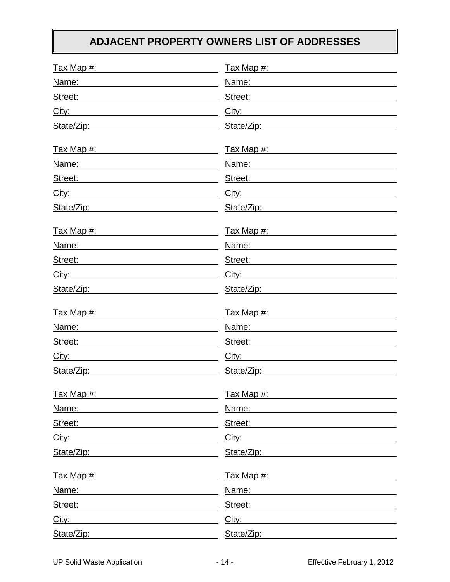# **ADJACENT PROPERTY OWNERS LIST OF ADDRESSES**

| Tax Map #:                                                                                                                                 | Tax Map #:            |
|--------------------------------------------------------------------------------------------------------------------------------------------|-----------------------|
| Name:                                                                                                                                      | Name:                 |
| Street:<br><u> 1989 - Johann Stein, mars et al. 1989 - Anna ann an t-Anna ann an t-Anna ann an t-Anna ann an t-Anna ann an t-</u>          | Street:               |
| City:                                                                                                                                      | City:                 |
| State/Zip:                                                                                                                                 | State/Zip:            |
| <u>Tax Map #:</u><br><u> 1980 - Johann Barbara, martin amerikan basal dan berasal dalam basal dalam basal dalam basal dalam basal dala</u> | Tax Map #: Tax Map #: |
| Name:                                                                                                                                      | Name:                 |
| Street:                                                                                                                                    | Street:               |
| City:<br><u> 1989 - Johann Barbara, martxa alemaniar populari (</u>                                                                        | City:                 |
| State/Zip:<br><u> 1989 - Johann Harry Communication (b. 1989)</u>                                                                          | State/Zip:            |
|                                                                                                                                            |                       |
| Name:<br><u> 1989 - Johann Barbara, martin eta politikar</u>                                                                               | Name:                 |
| Street:                                                                                                                                    | Street:               |
| City:<br><u> 1980 - Johann Barn, amerikansk politiker (</u>                                                                                | City:                 |
| State/Zip:                                                                                                                                 | State/Zip:            |
| <u>Tax Map #:</u>                                                                                                                          | Tax Map #:            |
| Name:                                                                                                                                      | Name:                 |
| Street:<br><u> Alexandria de la contexta de la contexta de la contexta de la contexta de la contexta de la contexta de la co</u>           | Street:               |
| City:                                                                                                                                      | City:                 |
| State/Zip:                                                                                                                                 | State/Zip:            |
| Tax Map #:                                                                                                                                 | Tax Map #:            |
| Name:                                                                                                                                      | Name:                 |
| Street:                                                                                                                                    | Street:               |
| City:                                                                                                                                      | City:                 |
| State/Zip:                                                                                                                                 | State/Zip:            |
| Tax Map #:                                                                                                                                 | Tax Map #:            |
| Name:                                                                                                                                      | Name:                 |
| Street:                                                                                                                                    | Street:               |
| City:                                                                                                                                      | City:                 |
| State/Zip:                                                                                                                                 | State/Zip:            |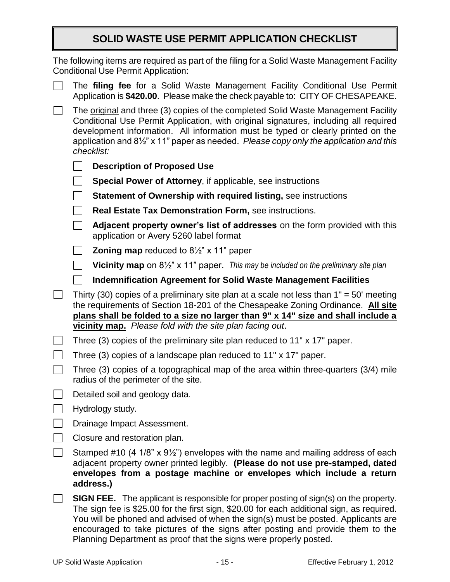#### **SOLID WASTE USE PERMIT APPLICATION CHECKLIST**

|  | The following items are required as part of the filing for a Solid Waste Management Facility<br><b>Conditional Use Permit Application:</b>                                                                                                                                                                                                                                         |                                                                            |
|--|------------------------------------------------------------------------------------------------------------------------------------------------------------------------------------------------------------------------------------------------------------------------------------------------------------------------------------------------------------------------------------|----------------------------------------------------------------------------|
|  | The filing fee for a Solid Waste Management Facility Conditional Use Permit<br>Application is \$420.00. Please make the check payable to: CITY OF CHESAPEAKE.                                                                                                                                                                                                                      |                                                                            |
|  | The original and three (3) copies of the completed Solid Waste Management Facility<br>Conditional Use Permit Application, with original signatures, including all required<br>development information. All information must be typed or clearly printed on the<br>application and 8 <sup>1/2"</sup> x 11" paper as needed. Please copy only the application and this<br>checklist: |                                                                            |
|  | <b>Description of Proposed Use</b>                                                                                                                                                                                                                                                                                                                                                 |                                                                            |
|  | <b>Special Power of Attorney, if applicable, see instructions</b>                                                                                                                                                                                                                                                                                                                  |                                                                            |
|  | <b>Statement of Ownership with required listing, see instructions</b>                                                                                                                                                                                                                                                                                                              |                                                                            |
|  | Real Estate Tax Demonstration Form, see instructions.                                                                                                                                                                                                                                                                                                                              |                                                                            |
|  | application or Avery 5260 label format                                                                                                                                                                                                                                                                                                                                             | Adjacent property owner's list of addresses on the form provided with this |
|  | <b>Zoning map</b> reduced to $8\frac{1}{2}$ " x 11" paper                                                                                                                                                                                                                                                                                                                          |                                                                            |
|  | <b>Vicinity map</b> on $8\frac{1}{2}$ " x 11" paper. This may be included on the preliminary site plan                                                                                                                                                                                                                                                                             |                                                                            |
|  | <b>Indemnification Agreement for Solid Waste Management Facilities</b>                                                                                                                                                                                                                                                                                                             |                                                                            |
|  | Thirty (30) copies of a preliminary site plan at a scale not less than $1" = 50'$ meeting<br>the requirements of Section 18-201 of the Chesapeake Zoning Ordinance. All site<br>plans shall be folded to a size no larger than 9" x 14" size and shall include a<br>vicinity map. Please fold with the site plan facing out.                                                       |                                                                            |
|  | Three (3) copies of the preliminary site plan reduced to 11" x 17" paper.<br>Three (3) copies of a landscape plan reduced to 11" x 17" paper.<br>Three (3) copies of a topographical map of the area within three-quarters (3/4) mile<br>radius of the perimeter of the site.<br>Detailed soil and geology data.<br>Hydrology study.<br>Drainage Impact Assessment.                |                                                                            |
|  |                                                                                                                                                                                                                                                                                                                                                                                    |                                                                            |
|  |                                                                                                                                                                                                                                                                                                                                                                                    |                                                                            |
|  |                                                                                                                                                                                                                                                                                                                                                                                    |                                                                            |
|  |                                                                                                                                                                                                                                                                                                                                                                                    |                                                                            |
|  |                                                                                                                                                                                                                                                                                                                                                                                    |                                                                            |
|  | Closure and restoration plan.                                                                                                                                                                                                                                                                                                                                                      |                                                                            |
|  | Stamped #10 (4 1/8" x 9 <sup>1/2"</sup> ) envelopes with the name and mailing address of each<br>adjacent property owner printed legibly. (Please do not use pre-stamped, dated<br>envelopes from a postage machine or envelopes which include a return<br>address.)                                                                                                               |                                                                            |
|  | <b>SIGN FEE.</b> The applicant is responsible for proper posting of sign(s) on the property.<br>The sign fee is \$25.00 for the first sign, \$20.00 for each additional sign, as required.<br>You will be phoned and advised of when the sign(s) must be posted. Applicants are                                                                                                    |                                                                            |

Planning Department as proof that the signs were properly posted.

encouraged to take pictures of the signs after posting and provide them to the